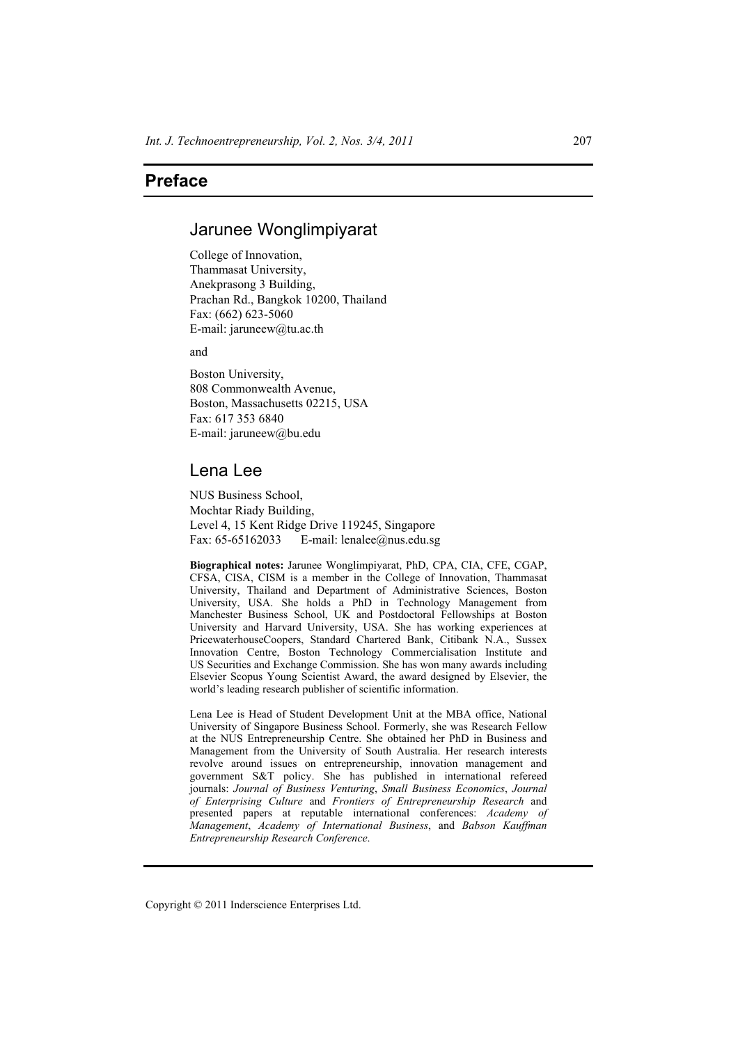# **Preface**

# Jarunee Wonglimpiyarat

College of Innovation, Thammasat University, Anekprasong 3 Building, Prachan Rd., Bangkok 10200, Thailand Fax: (662) 623-5060 E-mail: jaruneew@tu.ac.th

and

Boston University, 808 Commonwealth Avenue, Boston, Massachusetts 02215, USA Fax: 617 353 6840 E-mail: jaruneew@bu.edu

## Lena Lee

NUS Business School, Mochtar Riady Building, Level 4, 15 Kent Ridge Drive 119245, Singapore Fax: 65-65162033 E-mail: lenalee@nus.edu.sg

**Biographical notes:** Jarunee Wonglimpiyarat, PhD, CPA, CIA, CFE, CGAP, CFSA, CISA, CISM is a member in the College of Innovation, Thammasat University, Thailand and Department of Administrative Sciences, Boston University, USA. She holds a PhD in Technology Management from Manchester Business School, UK and Postdoctoral Fellowships at Boston University and Harvard University, USA. She has working experiences at PricewaterhouseCoopers, Standard Chartered Bank, Citibank N.A., Sussex Innovation Centre, Boston Technology Commercialisation Institute and US Securities and Exchange Commission. She has won many awards including Elsevier Scopus Young Scientist Award, the award designed by Elsevier, the world's leading research publisher of scientific information.

Lena Lee is Head of Student Development Unit at the MBA office, National University of Singapore Business School. Formerly, she was Research Fellow at the NUS Entrepreneurship Centre. She obtained her PhD in Business and Management from the University of South Australia. Her research interests revolve around issues on entrepreneurship, innovation management and government S&T policy. She has published in international refereed journals: *Journal of Business Venturing*, *Small Business Economics*, *Journal of Enterprising Culture* and *Frontiers of Entrepreneurship Research* and presented papers at reputable international conferences: *Academy of Management*, *Academy of International Business*, and *Babson Kauffman Entrepreneurship Research Conference*.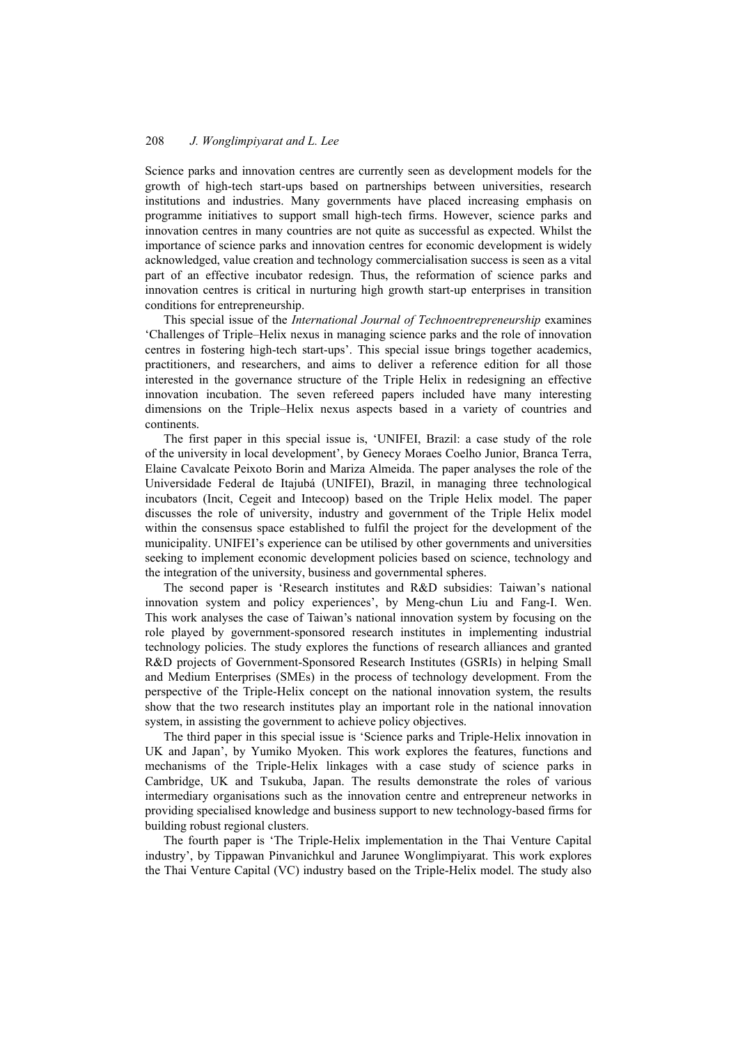### 208 *J. Wonglimpiyarat and L. Lee*

Science parks and innovation centres are currently seen as development models for the growth of high-tech start-ups based on partnerships between universities, research institutions and industries. Many governments have placed increasing emphasis on programme initiatives to support small high-tech firms. However, science parks and innovation centres in many countries are not quite as successful as expected. Whilst the importance of science parks and innovation centres for economic development is widely acknowledged, value creation and technology commercialisation success is seen as a vital part of an effective incubator redesign. Thus, the reformation of science parks and innovation centres is critical in nurturing high growth start-up enterprises in transition conditions for entrepreneurship.

This special issue of the *International Journal of Technoentrepreneurship* examines 'Challenges of Triple–Helix nexus in managing science parks and the role of innovation centres in fostering high-tech start-ups'. This special issue brings together academics, practitioners, and researchers, and aims to deliver a reference edition for all those interested in the governance structure of the Triple Helix in redesigning an effective innovation incubation. The seven refereed papers included have many interesting dimensions on the Triple–Helix nexus aspects based in a variety of countries and continents.

The first paper in this special issue is, 'UNIFEI, Brazil: a case study of the role of the university in local development', by Genecy Moraes Coelho Junior, Branca Terra, Elaine Cavalcate Peixoto Borin and Mariza Almeida. The paper analyses the role of the Universidade Federal de Itajubá (UNIFEI), Brazil, in managing three technological incubators (Incit, Cegeit and Intecoop) based on the Triple Helix model. The paper discusses the role of university, industry and government of the Triple Helix model within the consensus space established to fulfil the project for the development of the municipality. UNIFEI's experience can be utilised by other governments and universities seeking to implement economic development policies based on science, technology and the integration of the university, business and governmental spheres.

The second paper is 'Research institutes and R&D subsidies: Taiwan's national innovation system and policy experiences', by Meng-chun Liu and Fang-I. Wen. This work analyses the case of Taiwan's national innovation system by focusing on the role played by government-sponsored research institutes in implementing industrial technology policies. The study explores the functions of research alliances and granted R&D projects of Government-Sponsored Research Institutes (GSRIs) in helping Small and Medium Enterprises (SMEs) in the process of technology development. From the perspective of the Triple-Helix concept on the national innovation system, the results show that the two research institutes play an important role in the national innovation system, in assisting the government to achieve policy objectives.

The third paper in this special issue is 'Science parks and Triple-Helix innovation in UK and Japan', by Yumiko Myoken. This work explores the features, functions and mechanisms of the Triple-Helix linkages with a case study of science parks in Cambridge, UK and Tsukuba, Japan. The results demonstrate the roles of various intermediary organisations such as the innovation centre and entrepreneur networks in providing specialised knowledge and business support to new technology-based firms for building robust regional clusters.

The fourth paper is 'The Triple-Helix implementation in the Thai Venture Capital industry', by Tippawan Pinvanichkul and Jarunee Wonglimpiyarat. This work explores the Thai Venture Capital (VC) industry based on the Triple-Helix model. The study also